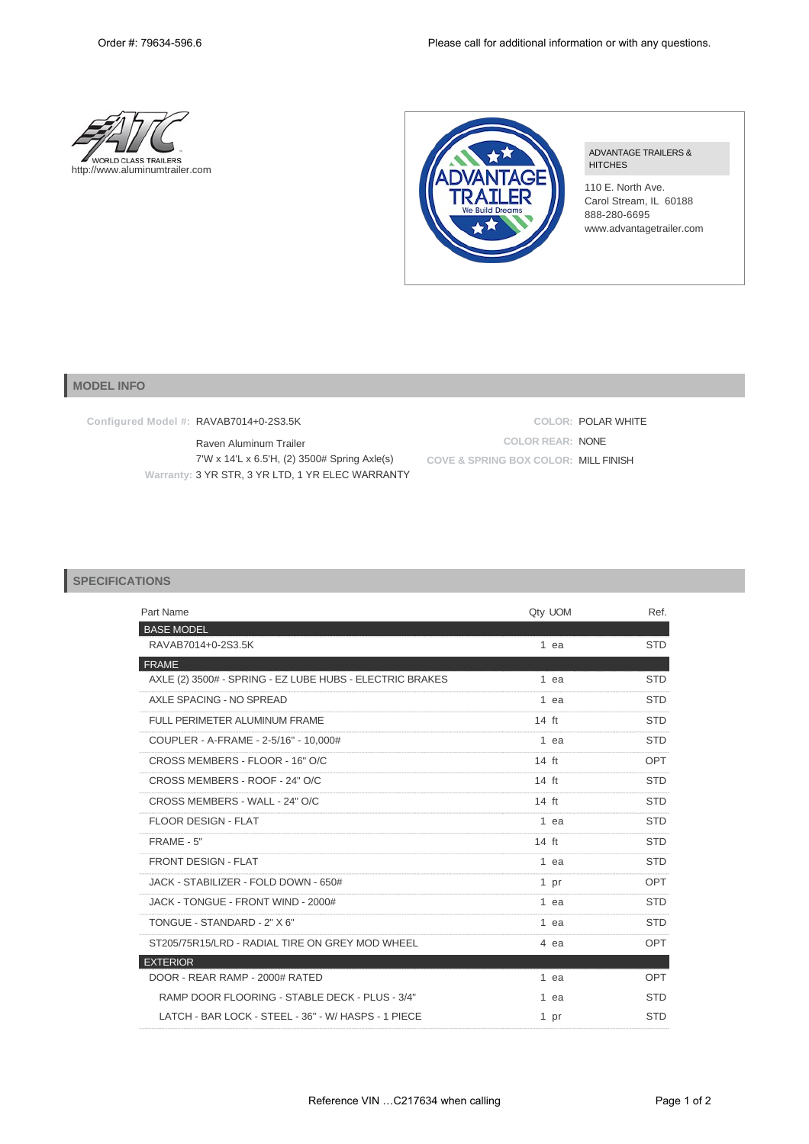



ADVANTAGE TRAILERS & **HITCHES** 

110 E. North Ave. Carol Stream, IL 60188 888-280-6695 www.advantagetrailer.com

## **MODEL INFO**

**Configured Model #:** RAVAB7014+0-2S3.5K

Raven Aluminum Trailer 7'W x 14'L x 6.5'H, (2) 3500# Spring Axle(s) **Warranty:** 3 YR STR, 3 YR LTD, 1 YR ELEC WARRANTY

**COLOR:** POLAR WHITE **COLOR REAR:** NONE **COVE & SPRING BOX COLOR:** MILL FINISH

## **SPECIFICATIONS**

| Qty UOM         | Ref.       |
|-----------------|------------|
|                 |            |
| 1 ea            | <b>STD</b> |
|                 |            |
| 1 ea            | <b>STD</b> |
| 1 ea            | <b>STD</b> |
| $14$ ft         | <b>STD</b> |
| 1 ea            | <b>STD</b> |
| $14 \text{ ft}$ | OPT        |
| $14 \text{ ft}$ | <b>STD</b> |
| $14 \text{ ft}$ | <b>STD</b> |
| 1 ea            | <b>STD</b> |
| $14 \text{ ft}$ | <b>STD</b> |
| 1 ea            | <b>STD</b> |
| 1 pr            | <b>OPT</b> |
| 1 ea            | <b>STD</b> |
| 1 ea            | <b>STD</b> |
| 4 ea            | OPT        |
|                 |            |
| 1 ea            | OPT        |
| 1 ea            | <b>STD</b> |
| 1 pr            | <b>STD</b> |
|                 |            |